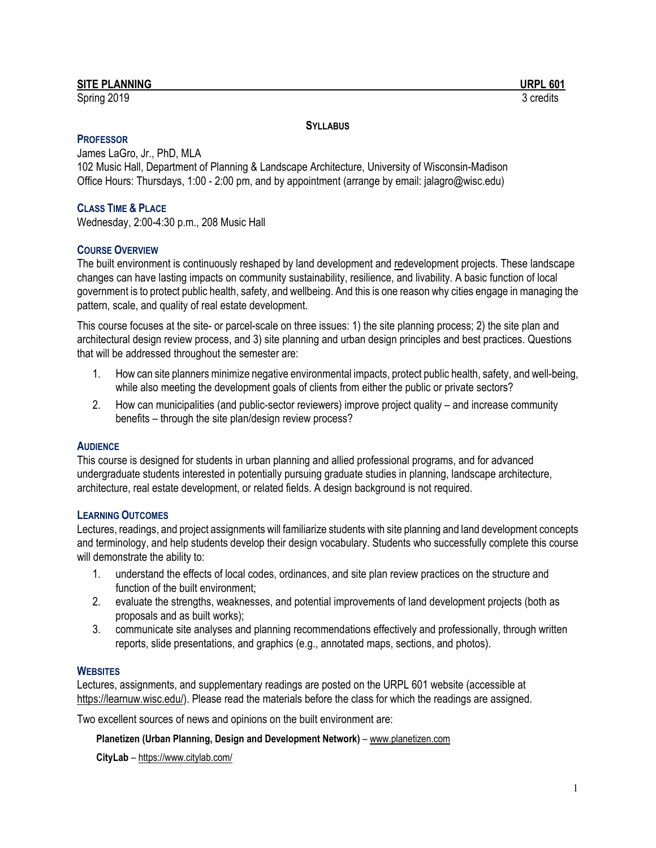# **SITE PLANNING URPL 601**

Spring 2019 3 credits

**SYLLABUS**

#### **PROFESSOR**

James LaGro, Jr., PhD, MLA

102 Music Hall, Department of Planning & Landscape Architecture, University of Wisconsin-Madison Office Hours: Thursdays, 1:00 - 2:00 pm, and by appointment (arrange by email: [jalagro@wisc.edu\)](mailto:jalagro@wisc.edu)

## **CLASS TIME & PLACE**

Wednesday, 2:00-4:30 p.m., 208 Music Hall

## **COURSE OVERVIEW**

The built environment is continuously reshaped by land development and redevelopment projects. These landscape changes can have lasting impacts on community sustainability, resilience, and livability. A basic function of local government is to protect public health, safety, and wellbeing. And this is one reason why cities engage in managing the pattern, scale, and quality of real estate development.

This course focuses at the site- or parcel-scale on three issues: 1) the site planning process; 2) the site plan and architectural design review process, and 3) site planning and urban design principles and best practices. Questions that will be addressed throughout the semester are:

- 1. How can site planners minimize negative environmental impacts, protect public health, safety, and well-being, while also meeting the development goals of clients from either the public or private sectors?
- 2. How can municipalities (and public-sector reviewers) improve project quality and increase community benefits – through the site plan/design review process?

### **AUDIENCE**

This course is designed for students in urban planning and allied professional programs, and for advanced undergraduate students interested in potentially pursuing graduate studies in planning, landscape architecture, architecture, real estate development, or related fields. A design background is not required.

#### **LEARNING OUTCOMES**

Lectures, readings, and project assignments will familiarize students with site planning and land development concepts and terminology, and help students develop their design vocabulary. Students who successfully complete this course will demonstrate the ability to:

- 1. understand the effects of local codes, ordinances, and site plan review practices on the structure and function of the built environment;
- 2. evaluate the strengths, weaknesses, and potential improvements of land development projects (both as proposals and as built works);
- 3. communicate site analyses and planning recommendations effectively and professionally, through written reports, slide presentations, and graphics (e.g., annotated maps, sections, and photos).

#### **WEBSITES**

Lectures, assignments, and supplementary readings are posted on the URPL 601 website (accessible at [https://learnuw.wisc.edu/\)](https://learnuw.wisc.edu/). Please read the materials before the class for which the readings are assigned.

Two excellent sources of news and opinions on the built environment are:

#### **Planetizen (Urban Planning, Design and Development Network)** – [www.planetizen.com](http://www.planetizen.com/)

**CityLab** – <https://www.citylab.com/>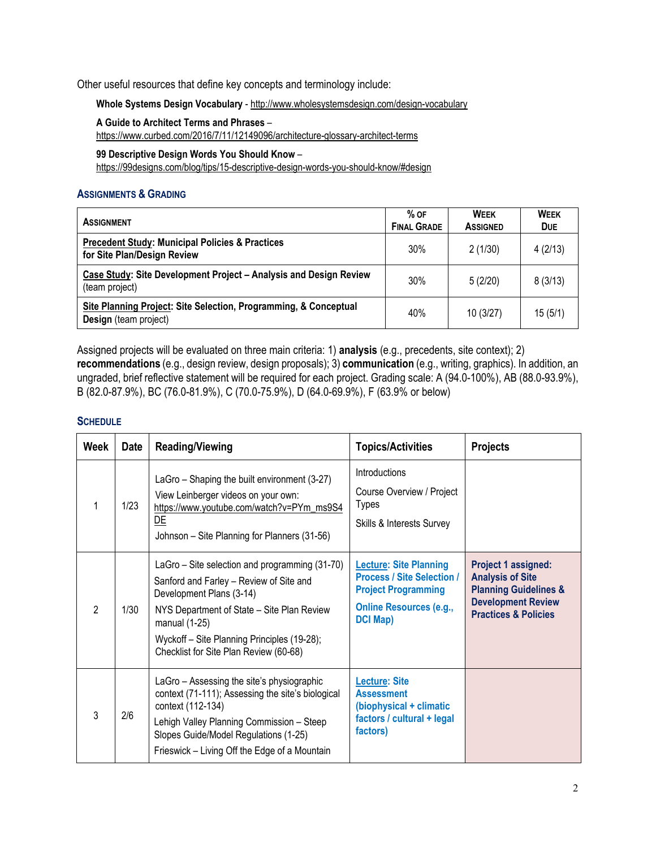Other useful resources that define key concepts and terminology include:

**Whole Systems Design Vocabulary** - <http://www.wholesystemsdesign.com/design-vocabulary>

**A Guide to Architect Terms and Phrases** – <https://www.curbed.com/2016/7/11/12149096/architecture-glossary-architect-terms>

**99 Descriptive Design Words You Should Know** –

<https://99designs.com/blog/tips/15-descriptive-design-words-you-should-know/#design>

# **ASSIGNMENTS & GRADING**

| <b>ASSIGNMENT</b>                                                                         | $%$ OF<br><b>FINAL GRADE</b> | <b>WEEK</b><br><b>ASSIGNED</b> | <b>WEEK</b><br><b>DUE</b> |
|-------------------------------------------------------------------------------------------|------------------------------|--------------------------------|---------------------------|
| <b>Precedent Study: Municipal Policies &amp; Practices</b><br>for Site Plan/Design Review | 30%                          | 2(1/30)                        | 4(2/13)                   |
| Case Study: Site Development Project - Analysis and Design Review<br>(team project)       | 30%                          | 5(2/20)                        | 8(3/13)                   |
| Site Planning Project: Site Selection, Programming, & Conceptual<br>Design (team project) | 40%                          | 10(3/27)                       | 15(5/1)                   |

Assigned projects will be evaluated on three main criteria: 1) **analysis** (e.g., precedents, site context); 2) **recommendations** (e.g., design review, design proposals); 3) **communication** (e.g., writing, graphics). In addition, an ungraded, brief reflective statement will be required for each project. Grading scale: A (94.0-100%), AB (88.0-93.9%), B (82.0-87.9%), BC (76.0-81.9%), C (70.0-75.9%), D (64.0-69.9%), F (63.9% or below)

# **SCHEDULE**

| Week           | <b>Date</b> | <b>Reading/Viewing</b>                                                                                                                                                                                                                                                          | <b>Topics/Activities</b>                                                                                                                              | <b>Projects</b>                                                                                                                                    |
|----------------|-------------|---------------------------------------------------------------------------------------------------------------------------------------------------------------------------------------------------------------------------------------------------------------------------------|-------------------------------------------------------------------------------------------------------------------------------------------------------|----------------------------------------------------------------------------------------------------------------------------------------------------|
|                | 1/23        | LaGro - Shaping the built environment (3-27)<br>View Leinberger videos on your own:<br>https://www.youtube.com/watch?v=PYm_ms9S4<br>DE<br>Johnson - Site Planning for Planners (31-56)                                                                                          | Introductions<br>Course Overview / Project<br><b>Types</b><br>Skills & Interests Survey                                                               |                                                                                                                                                    |
| $\mathfrak{D}$ | 1/30        | LaGro - Site selection and programming (31-70)<br>Sanford and Farley - Review of Site and<br>Development Plans (3-14)<br>NYS Department of State - Site Plan Review<br>manual $(1-25)$<br>Wyckoff - Site Planning Principles (19-28);<br>Checklist for Site Plan Review (60-68) | <b>Lecture: Site Planning</b><br><b>Process / Site Selection /</b><br><b>Project Programming</b><br><b>Online Resources (e.g.,</b><br><b>DCI Map)</b> | Project 1 assigned:<br><b>Analysis of Site</b><br><b>Planning Guidelines &amp;</b><br><b>Development Review</b><br><b>Practices &amp; Policies</b> |
| 3              | 2/6         | LaGro - Assessing the site's physiographic<br>context (71-111); Assessing the site's biological<br>context (112-134)<br>Lehigh Valley Planning Commission - Steep<br>Slopes Guide/Model Regulations (1-25)<br>Frieswick - Living Off the Edge of a Mountain                     | <b>Lecture: Site</b><br><b>Assessment</b><br>(biophysical + climatic<br>factors / cultural + legal<br>factors)                                        |                                                                                                                                                    |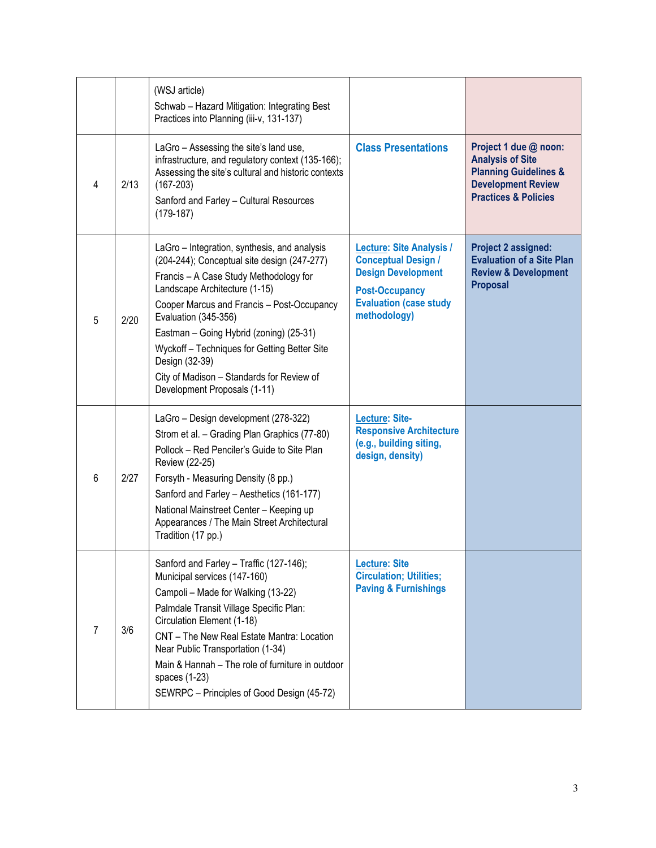|                |      | (WSJ article)<br>Schwab - Hazard Mitigation: Integrating Best<br>Practices into Planning (iii-v, 131-137)                                                                                                                                                                                                                                                                                                                              |                                                                                                                                                                      |                                                                                                                                                      |
|----------------|------|----------------------------------------------------------------------------------------------------------------------------------------------------------------------------------------------------------------------------------------------------------------------------------------------------------------------------------------------------------------------------------------------------------------------------------------|----------------------------------------------------------------------------------------------------------------------------------------------------------------------|------------------------------------------------------------------------------------------------------------------------------------------------------|
| $\overline{4}$ | 2/13 | LaGro - Assessing the site's land use,<br>infrastructure, and regulatory context (135-166);<br>Assessing the site's cultural and historic contexts<br>$(167 - 203)$<br>Sanford and Farley - Cultural Resources<br>$(179-187)$                                                                                                                                                                                                          | <b>Class Presentations</b>                                                                                                                                           | Project 1 due @ noon:<br><b>Analysis of Site</b><br><b>Planning Guidelines &amp;</b><br><b>Development Review</b><br><b>Practices &amp; Policies</b> |
| 5              | 2/20 | LaGro - Integration, synthesis, and analysis<br>(204-244); Conceptual site design (247-277)<br>Francis - A Case Study Methodology for<br>Landscape Architecture (1-15)<br>Cooper Marcus and Francis - Post-Occupancy<br>Evaluation (345-356)<br>Eastman - Going Hybrid (zoning) (25-31)<br>Wyckoff - Techniques for Getting Better Site<br>Design (32-39)<br>City of Madison - Standards for Review of<br>Development Proposals (1-11) | <b>Lecture: Site Analysis /</b><br><b>Conceptual Design /</b><br><b>Design Development</b><br><b>Post-Occupancy</b><br><b>Evaluation (case study</b><br>methodology) | <b>Project 2 assigned:</b><br><b>Evaluation of a Site Plan</b><br><b>Review &amp; Development</b><br><b>Proposal</b>                                 |
| 6              | 2/27 | LaGro - Design development (278-322)<br>Strom et al. - Grading Plan Graphics (77-80)<br>Pollock - Red Penciler's Guide to Site Plan<br>Review (22-25)<br>Forsyth - Measuring Density (8 pp.)<br>Sanford and Farley - Aesthetics (161-177)<br>National Mainstreet Center - Keeping up<br>Appearances / The Main Street Architectural<br>Tradition (17 pp.)                                                                              | <b>Lecture: Site-</b><br><b>Responsive Architecture</b><br>(e.g., building siting,<br>design, density)                                                               |                                                                                                                                                      |
| 7              | 3/6  | Sanford and Farley - Traffic (127-146);<br>Municipal services (147-160)<br>Campoli - Made for Walking (13-22)<br>Palmdale Transit Village Specific Plan:<br>Circulation Element (1-18)<br>CNT - The New Real Estate Mantra: Location<br>Near Public Transportation (1-34)<br>Main & Hannah - The role of furniture in outdoor<br>spaces $(1-23)$<br>SEWRPC - Principles of Good Design (45-72)                                         | <b>Lecture: Site</b><br><b>Circulation; Utilities;</b><br><b>Paving &amp; Furnishings</b>                                                                            |                                                                                                                                                      |